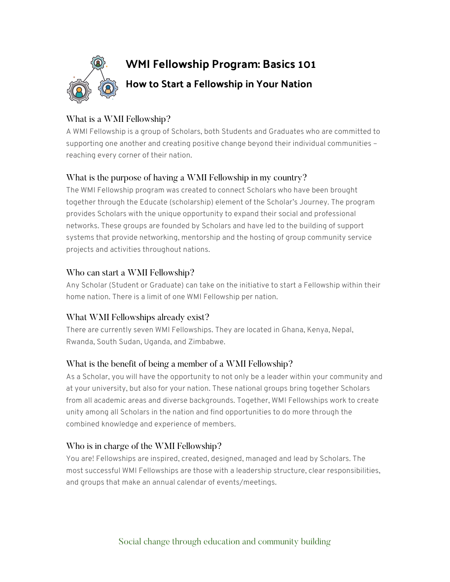

# What is a WMI Fellowship?

A WMI Fellowship is a group of Scholars, both Students and Graduates who are committed to supporting one another and creating positive change beyond their individual communities – reaching every corner of their nation.

## What is the purpose of having a WMI Fellowship in my country?

The WMI Fellowship program was created to connect Scholars who have been brought together through the Educate (scholarship) element of the Scholar's Journey. The program provides Scholars with the unique opportunity to expand their social and professional networks. These groups are founded by Scholars and have led to the building of support systems that provide networking, mentorship and the hosting of group community service projects and activities throughout nations.

## Who can start a WMI Fellowship?

Any Scholar (Student or Graduate) can take on the initiative to start a Fellowship within their home nation. There is a limit of one WMI Fellowship per nation.

## What WMI Fellowships already exist?

There are currently seven WMI Fellowships. They are located in Ghana, Kenya, Nepal, Rwanda, South Sudan, Uganda, and Zimbabwe.

## What is the benefit of being a member of a WMI Fellowship?

As a Scholar, you will have the opportunity to not only be a leader within your community and at your university, but also for your nation. These national groups bring together Scholars from all academic areas and diverse backgrounds. Together, WMI Fellowships work to create unity among all Scholars in the nation and find opportunities to do more through the combined knowledge and experience of members.

## Who is in charge of the WMI Fellowship?

You are! Fellowships are inspired, created, designed, managed and lead by Scholars. The most successful WMI Fellowships are those with a leadership structure, clear responsibilities, and groups that make an annual calendar of events/meetings.